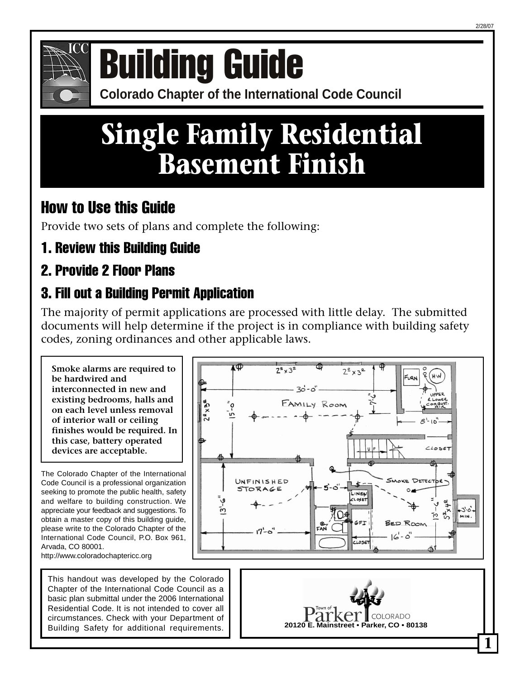

# **COLORATION COLORATION COLORATION COLORATION COLORATION COLORATION COLORATION COLORATION COLORATION COLORATION COLORATION COLORATION COLORATION COLORATION COLORATION COLORATION COLORATION COLORATION COLORATION COLORATION C**

# **Single Family Residential Basement Finish**

# How to Use this Guide

Provide two sets of plans and complete the following:

1. Review this Building Guide

# 2. Provide 2 Floor Plans

# 3. Fill out a Building Permit Application

The majority of permit applications are processed with little delay. The submitted documents will help determine if the project is in compliance with building safety codes, zoning ordinances and other applicable laws.

**Smoke alarms are required to be hardwired and interconnected in new and existing bedrooms, halls and on each level unless removal of interior wall or ceiling finishes would be required. In this case, battery operated devices are acceptable.**

The Colorado Chapter of the International Code Council is a professional organization seeking to promote the public health, safety and welfare to building construction. We appreciate your feedback and suggestions. To obtain a master copy of this building guide, please write to the Colorado Chapter of the International Code Council, P.O. Box 961, Arvada, CO 80001. http://www.coloradochaptericc.org

This handout was developed by the Colorado Chapter of the International Code Council as a basic plan submittal under the 2006 International Residential Code. It is not intended to cover all circumstances. Check with your Department of Building Safety for additional requirements.



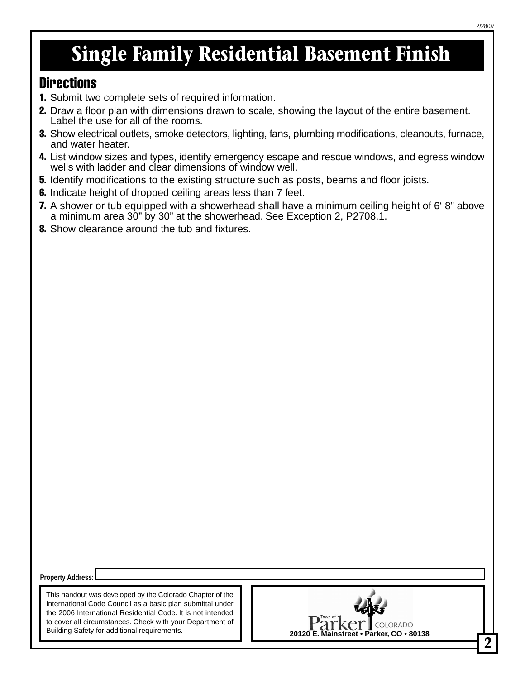# **Single Family Residential Basement Finish**

#### **Directions**

- 1. Submit two complete sets of required information.
- 2. Draw a floor plan with dimensions drawn to scale, showing the layout of the entire basement. Label the use for all of the rooms.
- **3.** Show electrical outlets, smoke detectors, lighting, fans, plumbing modifications, cleanouts, furnace, and water heater.
- 4. List window sizes and types, identify emergency escape and rescue windows, and egress window wells with ladder and clear dimensions of window well.
- **5.** Identify modifications to the existing structure such as posts, beams and floor joists.
- **6.** Indicate height of dropped ceiling areas less than 7 feet.
- **7.** A shower or tub equipped with a showerhead shall have a minimum ceiling height of 6° 8" above a minimum area 30" by 30" at the showerhead. See Exception 2, P2708.1.
- 8. Show clearance around the tub and fixtures.

**Property Address:**

This handout was developed by the Colorado Chapter of the International Code Council as a basic plan submittal under the 2006 International Residential Code. It is not intended to cover all circumstances. Check with your Department of Building Safety for additional requirements.

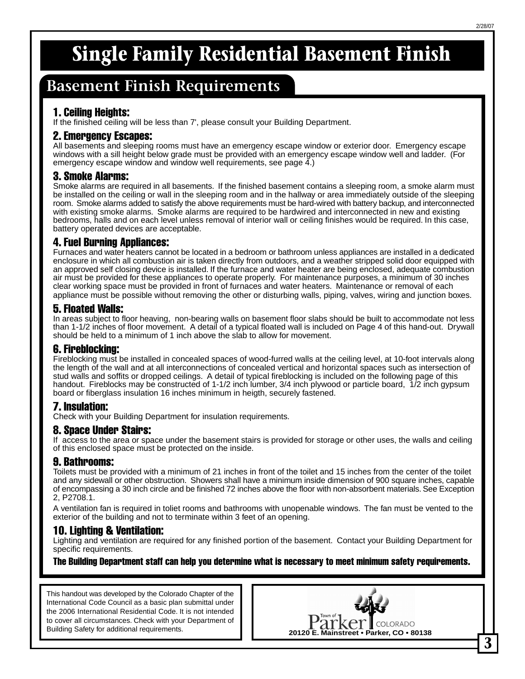# **Single Family Residential Basement Finish**

### **Basement Finish Requirements**

#### 1. Ceiling Heights:

If the finished ceiling will be less than 7', please consult your Building Department.

#### 2. Emergency Escapes:

All basements and sleeping rooms must have an emergency escape window or exterior door. Emergency escape windows with a sill height below grade must be provided with an emergency escape window well and ladder. (For emergency escape window and window well requirements, see page 4.)

#### 3. Smoke Alarms:

Smoke alarms are required in all basements. If the finished basement contains a sleeping room, a smoke alarm must be installed on the ceiling or wall in the sleeping room and in the hallway or area immediately outside of the sleeping room. Smoke alarms added to satisfy the above requirements must be hard-wired with battery backup, and interconnected with existing smoke alarms. Smoke alarms are required to be hardwired and interconnected in new and existing bedrooms, halls and on each level unless removal of interior wall or ceiling finishes would be required. In this case, battery operated devices are acceptable.

#### 4. Fuel Burning Appliances:

Furnaces and water heaters cannot be located in a bedroom or bathroom unless appliances are installed in a dedicated enclosure in which all combustion air is taken directly from outdoors, and a weather stripped solid door equipped with an approved self closing device is installed. If the furnace and water heater are being enclosed, adequate combustion air must be provided for these appliances to operate properly. For maintenance purposes, a minimum of 30 inches clear working space must be provided in front of furnaces and water heaters. Maintenance or removal of each appliance must be possible without removing the other or disturbing walls, piping, valves, wiring and junction boxes.

#### 5. Floated Walls:

In areas subject to floor heaving, non-bearing walls on basement floor slabs should be built to accommodate not less than 1-1/2 inches of floor movement. A detail of a typical floated wall is included on Page 4 of this hand-out. Drywall should be held to a minimum of 1 inch above the slab to allow for movement.

#### 6. Fireblocking:

Fireblocking must be installed in concealed spaces of wood-furred walls at the ceiling level, at 10-foot intervals along the length of the wall and at all interconnections of concealed vertical and horizontal spaces such as intersection of stud walls and soffits or dropped ceilings. A detail of typical fireblocking is included on the following page of this handout. Fireblocks may be constructed of 1-1/2 inch lumber, 3/4 inch plywood or particle board, 1/2 inch gypsum board or fiberglass insulation 16 inches minimum in heigth, securely fastened.

#### 7. Insulation:

Check with your Building Department for insulation requirements.

#### 8. Space Under Stairs:

If access to the area or space under the basement stairs is provided for storage or other uses, the walls and ceiling of this enclosed space must be protected on the inside.

#### 9. Bathrooms:

Toilets must be provided with a minimum of 21 inches in front of the toilet and 15 inches from the center of the toilet and any sidewall or other obstruction. Showers shall have a minimum inside dimension of 900 square inches, capable of encompassing a 30 inch circle and be finished 72 inches above the floor with non-absorbent materials. See Exception 2, P2708.1.

A ventilation fan is required in toliet rooms and bathrooms with unopenable windows. The fan must be vented to the exterior of the building and not to terminate within 3 feet of an opening.

#### 10. Lighting & Ventilation:

Lighting and ventilation are required for any finished portion of the basement. Contact your Building Department for specific requirements.

The Building Department staff can help you determine what is necessary to meet minimum safety requirements.

This handout was developed by the Colorado Chapter of the International Code Council as a basic plan submittal under the 2006 International Residential Code. It is not intended to cover all circumstances. Check with your Department of Building Safety for additional requirements.